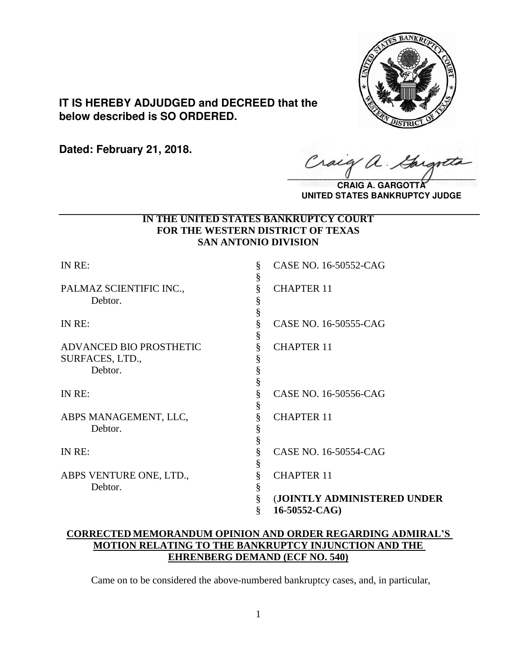

**IT IS HEREBY ADJUDGED and DECREED that the below described is SO ORDERED.**

**Dated: February 21, 2018.**

Craig a.

**CRAIG A. GARGOTTA UNITED STATES BANKRUPTCY JUDGE**

## **IN THE UNITED STATES BANKRUPTCY COURT FOR THE WESTERN DISTRICT OF TEXAS SAN ANTONIO DIVISION \_\_\_\_\_\_\_\_\_\_\_\_\_\_\_\_\_\_\_\_\_\_\_\_\_\_\_\_\_\_\_\_\_\_\_\_\_\_\_\_\_\_\_\_\_\_\_\_\_\_\_\_\_\_\_\_\_\_\_\_\_\_\_\_**

| (JOINTLY ADMINISTERED UNDER |
|-----------------------------|
|                             |
|                             |

## **CORRECTED MEMORANDUM OPINION AND ORDER REGARDING ADMIRAL'S MOTION RELATING TO THE BANKRUPTCY INJUNCTION AND THE EHRENBERG DEMAND (ECF NO. 540)**

Came on to be considered the above-numbered bankruptcy cases, and, in particular,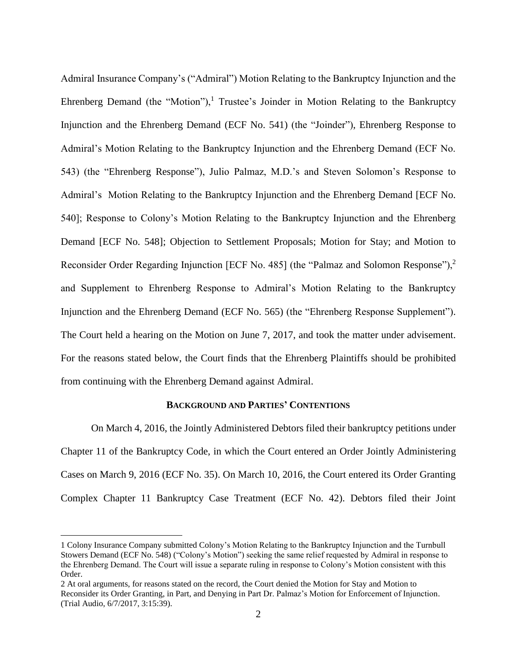Admiral Insurance Company's ("Admiral") Motion Relating to the Bankruptcy Injunction and the Ehrenberg Demand (the "Motion"),<sup>1</sup> Trustee's Joinder in Motion Relating to the Bankruptcy Injunction and the Ehrenberg Demand (ECF No. 541) (the "Joinder"), Ehrenberg Response to Admiral's Motion Relating to the Bankruptcy Injunction and the Ehrenberg Demand (ECF No. 543) (the "Ehrenberg Response"), Julio Palmaz, M.D.'s and Steven Solomon's Response to Admiral's Motion Relating to the Bankruptcy Injunction and the Ehrenberg Demand [ECF No. 540]; Response to Colony's Motion Relating to the Bankruptcy Injunction and the Ehrenberg Demand [ECF No. 548]; Objection to Settlement Proposals; Motion for Stay; and Motion to Reconsider Order Regarding Injunction [ECF No. 485] (the "Palmaz and Solomon Response"),<sup>2</sup> and Supplement to Ehrenberg Response to Admiral's Motion Relating to the Bankruptcy Injunction and the Ehrenberg Demand (ECF No. 565) (the "Ehrenberg Response Supplement"). The Court held a hearing on the Motion on June 7, 2017, and took the matter under advisement. For the reasons stated below, the Court finds that the Ehrenberg Plaintiffs should be prohibited from continuing with the Ehrenberg Demand against Admiral.

## **BACKGROUND AND PARTIES' CONTENTIONS**

On March 4, 2016, the Jointly Administered Debtors filed their bankruptcy petitions under Chapter 11 of the Bankruptcy Code, in which the Court entered an Order Jointly Administering Cases on March 9, 2016 (ECF No. 35). On March 10, 2016, the Court entered its Order Granting Complex Chapter 11 Bankruptcy Case Treatment (ECF No. 42). Debtors filed their Joint

 $\overline{a}$ 

<sup>1</sup> Colony Insurance Company submitted Colony's Motion Relating to the Bankruptcy Injunction and the Turnbull Stowers Demand (ECF No. 548) ("Colony's Motion") seeking the same relief requested by Admiral in response to the Ehrenberg Demand. The Court will issue a separate ruling in response to Colony's Motion consistent with this Order.

<sup>2</sup> At oral arguments, for reasons stated on the record, the Court denied the Motion for Stay and Motion to Reconsider its Order Granting, in Part, and Denying in Part Dr. Palmaz's Motion for Enforcement of Injunction. (Trial Audio, 6/7/2017, 3:15:39).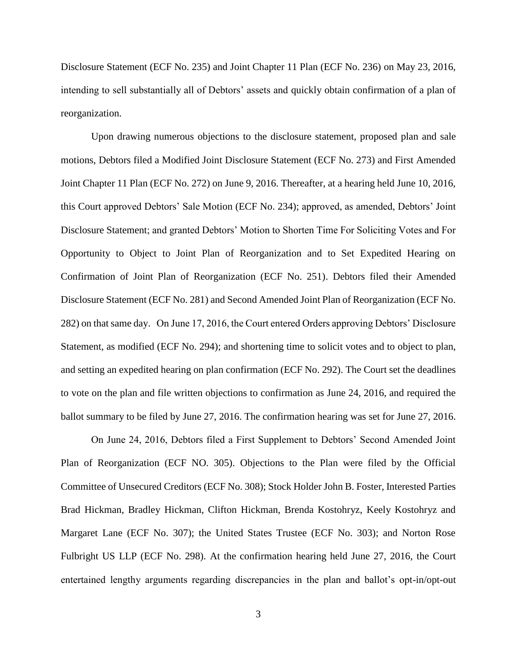Disclosure Statement (ECF No. 235) and Joint Chapter 11 Plan (ECF No. 236) on May 23, 2016, intending to sell substantially all of Debtors' assets and quickly obtain confirmation of a plan of reorganization.

Upon drawing numerous objections to the disclosure statement, proposed plan and sale motions, Debtors filed a Modified Joint Disclosure Statement (ECF No. 273) and First Amended Joint Chapter 11 Plan (ECF No. 272) on June 9, 2016. Thereafter, at a hearing held June 10, 2016, this Court approved Debtors' Sale Motion (ECF No. 234); approved, as amended, Debtors' Joint Disclosure Statement; and granted Debtors' Motion to Shorten Time For Soliciting Votes and For Opportunity to Object to Joint Plan of Reorganization and to Set Expedited Hearing on Confirmation of Joint Plan of Reorganization (ECF No. 251). Debtors filed their Amended Disclosure Statement (ECF No. 281) and Second Amended Joint Plan of Reorganization (ECF No. 282) on that same day. On June 17, 2016, the Court entered Orders approving Debtors' Disclosure Statement, as modified (ECF No. 294); and shortening time to solicit votes and to object to plan, and setting an expedited hearing on plan confirmation (ECF No. 292). The Court set the deadlines to vote on the plan and file written objections to confirmation as June 24, 2016, and required the ballot summary to be filed by June 27, 2016. The confirmation hearing was set for June 27, 2016.

On June 24, 2016, Debtors filed a First Supplement to Debtors' Second Amended Joint Plan of Reorganization (ECF NO. 305). Objections to the Plan were filed by the Official Committee of Unsecured Creditors (ECF No. 308); Stock Holder John B. Foster, Interested Parties Brad Hickman, Bradley Hickman, Clifton Hickman, Brenda Kostohryz, Keely Kostohryz and Margaret Lane (ECF No. 307); the United States Trustee (ECF No. 303); and Norton Rose Fulbright US LLP (ECF No. 298). At the confirmation hearing held June 27, 2016, the Court entertained lengthy arguments regarding discrepancies in the plan and ballot's opt-in/opt-out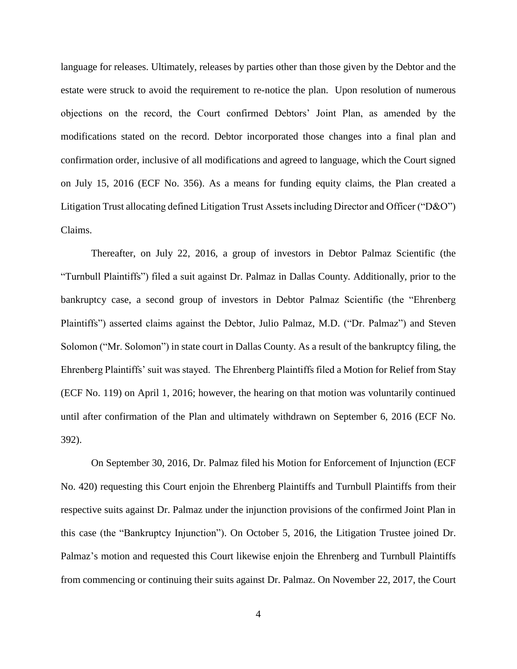language for releases. Ultimately, releases by parties other than those given by the Debtor and the estate were struck to avoid the requirement to re-notice the plan. Upon resolution of numerous objections on the record, the Court confirmed Debtors' Joint Plan, as amended by the modifications stated on the record. Debtor incorporated those changes into a final plan and confirmation order, inclusive of all modifications and agreed to language, which the Court signed on July 15, 2016 (ECF No. 356). As a means for funding equity claims, the Plan created a Litigation Trust allocating defined Litigation Trust Assets including Director and Officer ("D&O") Claims.

Thereafter, on July 22, 2016, a group of investors in Debtor Palmaz Scientific (the "Turnbull Plaintiffs") filed a suit against Dr. Palmaz in Dallas County. Additionally, prior to the bankruptcy case, a second group of investors in Debtor Palmaz Scientific (the "Ehrenberg Plaintiffs") asserted claims against the Debtor, Julio Palmaz, M.D. ("Dr. Palmaz") and Steven Solomon ("Mr. Solomon") in state court in Dallas County. As a result of the bankruptcy filing, the Ehrenberg Plaintiffs' suit was stayed. The Ehrenberg Plaintiffs filed a Motion for Relief from Stay (ECF No. 119) on April 1, 2016; however, the hearing on that motion was voluntarily continued until after confirmation of the Plan and ultimately withdrawn on September 6, 2016 (ECF No. 392).

On September 30, 2016, Dr. Palmaz filed his Motion for Enforcement of Injunction (ECF No. 420) requesting this Court enjoin the Ehrenberg Plaintiffs and Turnbull Plaintiffs from their respective suits against Dr. Palmaz under the injunction provisions of the confirmed Joint Plan in this case (the "Bankruptcy Injunction"). On October 5, 2016, the Litigation Trustee joined Dr. Palmaz's motion and requested this Court likewise enjoin the Ehrenberg and Turnbull Plaintiffs from commencing or continuing their suits against Dr. Palmaz. On November 22, 2017, the Court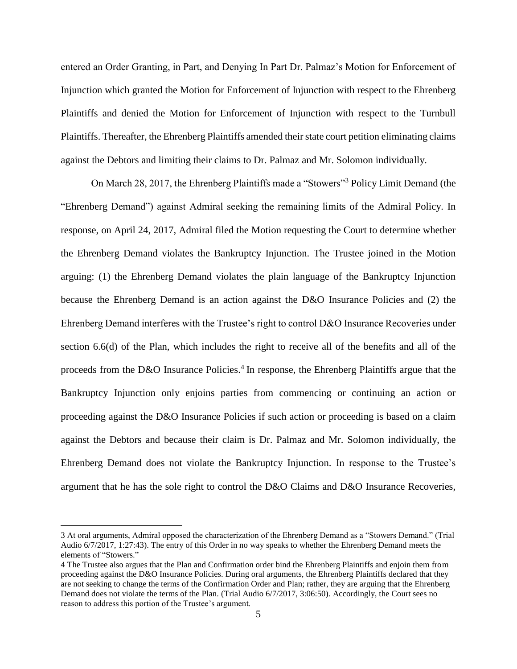entered an Order Granting, in Part, and Denying In Part Dr. Palmaz's Motion for Enforcement of Injunction which granted the Motion for Enforcement of Injunction with respect to the Ehrenberg Plaintiffs and denied the Motion for Enforcement of Injunction with respect to the Turnbull Plaintiffs. Thereafter, the Ehrenberg Plaintiffs amended their state court petition eliminating claims against the Debtors and limiting their claims to Dr. Palmaz and Mr. Solomon individually.

On March 28, 2017, the Ehrenberg Plaintiffs made a "Stowers"<sup>3</sup> Policy Limit Demand (the "Ehrenberg Demand") against Admiral seeking the remaining limits of the Admiral Policy. In response, on April 24, 2017, Admiral filed the Motion requesting the Court to determine whether the Ehrenberg Demand violates the Bankruptcy Injunction. The Trustee joined in the Motion arguing: (1) the Ehrenberg Demand violates the plain language of the Bankruptcy Injunction because the Ehrenberg Demand is an action against the D&O Insurance Policies and (2) the Ehrenberg Demand interferes with the Trustee's right to control D&O Insurance Recoveries under section 6.6(d) of the Plan, which includes the right to receive all of the benefits and all of the proceeds from the D&O Insurance Policies.<sup>4</sup> In response, the Ehrenberg Plaintiffs argue that the Bankruptcy Injunction only enjoins parties from commencing or continuing an action or proceeding against the D&O Insurance Policies if such action or proceeding is based on a claim against the Debtors and because their claim is Dr. Palmaz and Mr. Solomon individually, the Ehrenberg Demand does not violate the Bankruptcy Injunction. In response to the Trustee's argument that he has the sole right to control the D&O Claims and D&O Insurance Recoveries,

 $\overline{a}$ 

<sup>3</sup> At oral arguments, Admiral opposed the characterization of the Ehrenberg Demand as a "Stowers Demand." (Trial Audio 6/7/2017, 1:27:43). The entry of this Order in no way speaks to whether the Ehrenberg Demand meets the elements of "Stowers."

<sup>4</sup> The Trustee also argues that the Plan and Confirmation order bind the Ehrenberg Plaintiffs and enjoin them from proceeding against the D&O Insurance Policies. During oral arguments, the Ehrenberg Plaintiffs declared that they are not seeking to change the terms of the Confirmation Order and Plan; rather, they are arguing that the Ehrenberg Demand does not violate the terms of the Plan. (Trial Audio 6/7/2017, 3:06:50). Accordingly, the Court sees no reason to address this portion of the Trustee's argument.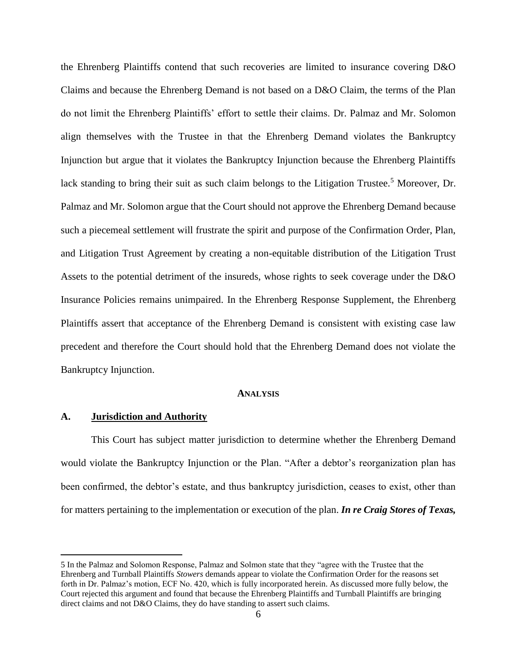the Ehrenberg Plaintiffs contend that such recoveries are limited to insurance covering D&O Claims and because the Ehrenberg Demand is not based on a D&O Claim, the terms of the Plan do not limit the Ehrenberg Plaintiffs' effort to settle their claims. Dr. Palmaz and Mr. Solomon align themselves with the Trustee in that the Ehrenberg Demand violates the Bankruptcy Injunction but argue that it violates the Bankruptcy Injunction because the Ehrenberg Plaintiffs lack standing to bring their suit as such claim belongs to the Litigation Trustee.<sup>5</sup> Moreover, Dr. Palmaz and Mr. Solomon argue that the Court should not approve the Ehrenberg Demand because such a piecemeal settlement will frustrate the spirit and purpose of the Confirmation Order, Plan, and Litigation Trust Agreement by creating a non-equitable distribution of the Litigation Trust Assets to the potential detriment of the insureds, whose rights to seek coverage under the D&O Insurance Policies remains unimpaired. In the Ehrenberg Response Supplement, the Ehrenberg Plaintiffs assert that acceptance of the Ehrenberg Demand is consistent with existing case law precedent and therefore the Court should hold that the Ehrenberg Demand does not violate the Bankruptcy Injunction.

#### **ANALYSIS**

## **A. Jurisdiction and Authority**

 $\overline{a}$ 

This Court has subject matter jurisdiction to determine whether the Ehrenberg Demand would violate the Bankruptcy Injunction or the Plan. "After a debtor's reorganization plan has been confirmed, the debtor's estate, and thus bankruptcy jurisdiction, ceases to exist, other than for matters pertaining to the implementation or execution of the plan. *In re Craig Stores of Texas,* 

<sup>5</sup> In the Palmaz and Solomon Response, Palmaz and Solmon state that they "agree with the Trustee that the Ehrenberg and Turnball Plaintiffs *Stowers* demands appear to violate the Confirmation Order for the reasons set forth in Dr. Palmaz's motion, ECF No. 420, which is fully incorporated herein. As discussed more fully below, the Court rejected this argument and found that because the Ehrenberg Plaintiffs and Turnball Plaintiffs are bringing direct claims and not D&O Claims, they do have standing to assert such claims.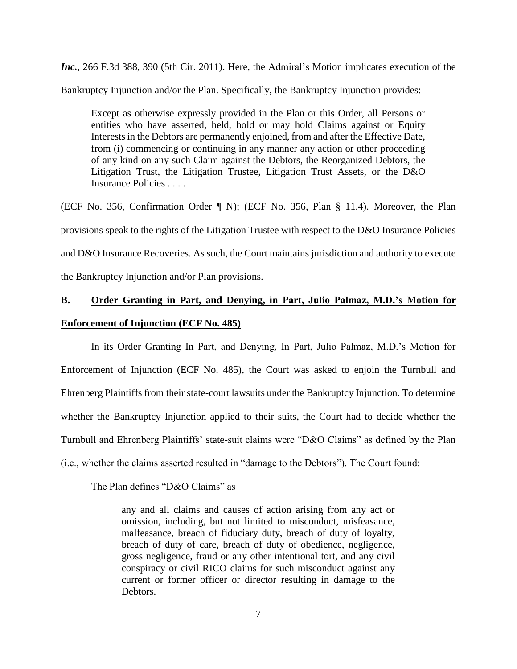*Inc.*, 266 F.3d 388, 390 (5th Cir. 2011). Here, the Admiral's Motion implicates execution of the Bankruptcy Injunction and/or the Plan. Specifically, the Bankruptcy Injunction provides:

Except as otherwise expressly provided in the Plan or this Order, all Persons or entities who have asserted, held, hold or may hold Claims against or Equity Interests in the Debtors are permanently enjoined, from and after the Effective Date, from (i) commencing or continuing in any manner any action or other proceeding of any kind on any such Claim against the Debtors, the Reorganized Debtors, the Litigation Trust, the Litigation Trustee, Litigation Trust Assets, or the D&O Insurance Policies . . . .

(ECF No. 356, Confirmation Order ¶ N); (ECF No. 356, Plan § 11.4). Moreover, the Plan provisions speak to the rights of the Litigation Trustee with respect to the D&O Insurance Policies and D&O Insurance Recoveries. As such, the Court maintains jurisdiction and authority to execute the Bankruptcy Injunction and/or Plan provisions.

# **B. Order Granting in Part, and Denying, in Part, Julio Palmaz, M.D.'s Motion for**

#### **Enforcement of Injunction (ECF No. 485)**

In its Order Granting In Part, and Denying, In Part, Julio Palmaz, M.D.'s Motion for Enforcement of Injunction (ECF No. 485), the Court was asked to enjoin the Turnbull and Ehrenberg Plaintiffs from their state-court lawsuits under the Bankruptcy Injunction. To determine whether the Bankruptcy Injunction applied to their suits, the Court had to decide whether the Turnbull and Ehrenberg Plaintiffs' state-suit claims were "D&O Claims" as defined by the Plan (i.e., whether the claims asserted resulted in "damage to the Debtors"). The Court found:

The Plan defines "D&O Claims" as

any and all claims and causes of action arising from any act or omission, including, but not limited to misconduct, misfeasance, malfeasance, breach of fiduciary duty, breach of duty of loyalty, breach of duty of care, breach of duty of obedience, negligence, gross negligence, fraud or any other intentional tort, and any civil conspiracy or civil RICO claims for such misconduct against any current or former officer or director resulting in damage to the Debtors.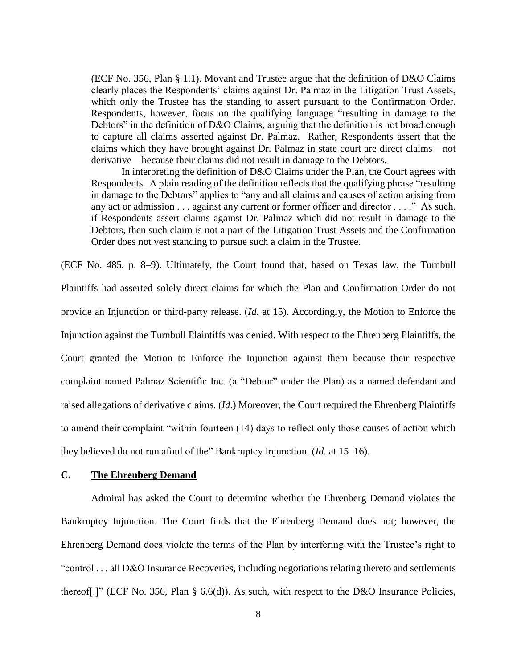(ECF No. 356, Plan § 1.1). Movant and Trustee argue that the definition of D&O Claims clearly places the Respondents' claims against Dr. Palmaz in the Litigation Trust Assets, which only the Trustee has the standing to assert pursuant to the Confirmation Order. Respondents, however, focus on the qualifying language "resulting in damage to the Debtors" in the definition of D&O Claims, arguing that the definition is not broad enough to capture all claims asserted against Dr. Palmaz. Rather, Respondents assert that the claims which they have brought against Dr. Palmaz in state court are direct claims—not derivative—because their claims did not result in damage to the Debtors.

In interpreting the definition of D&O Claims under the Plan, the Court agrees with Respondents. A plain reading of the definition reflects that the qualifying phrase "resulting in damage to the Debtors" applies to "any and all claims and causes of action arising from any act or admission . . . against any current or former officer and director . . . ." As such, if Respondents assert claims against Dr. Palmaz which did not result in damage to the Debtors, then such claim is not a part of the Litigation Trust Assets and the Confirmation Order does not vest standing to pursue such a claim in the Trustee.

(ECF No. 485, p. 8–9). Ultimately, the Court found that, based on Texas law, the Turnbull Plaintiffs had asserted solely direct claims for which the Plan and Confirmation Order do not provide an Injunction or third-party release. (*Id.* at 15). Accordingly, the Motion to Enforce the Injunction against the Turnbull Plaintiffs was denied. With respect to the Ehrenberg Plaintiffs, the Court granted the Motion to Enforce the Injunction against them because their respective complaint named Palmaz Scientific Inc. (a "Debtor" under the Plan) as a named defendant and raised allegations of derivative claims. (*Id*.) Moreover, the Court required the Ehrenberg Plaintiffs to amend their complaint "within fourteen (14) days to reflect only those causes of action which they believed do not run afoul of the" Bankruptcy Injunction. (*Id.* at 15–16).

## **C. The Ehrenberg Demand**

Admiral has asked the Court to determine whether the Ehrenberg Demand violates the Bankruptcy Injunction. The Court finds that the Ehrenberg Demand does not; however, the Ehrenberg Demand does violate the terms of the Plan by interfering with the Trustee's right to "control . . . all D&O Insurance Recoveries, including negotiations relating thereto and settlements thereof[.]" (ECF No. 356, Plan § 6.6(d)). As such, with respect to the D&O Insurance Policies,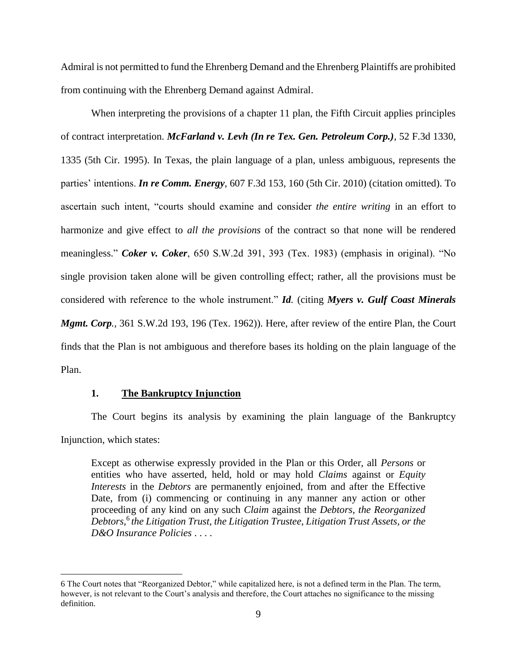Admiral is not permitted to fund the Ehrenberg Demand and the Ehrenberg Plaintiffs are prohibited from continuing with the Ehrenberg Demand against Admiral.

When interpreting the provisions of a chapter 11 plan, the Fifth Circuit applies principles of contract interpretation. *McFarland v. Levh (In re Tex. Gen. Petroleum Corp.)*, 52 F.3d 1330, 1335 (5th Cir. 1995). In Texas, the plain language of a plan, unless ambiguous, represents the parties' intentions. *In re Comm. Energy*, 607 F.3d 153, 160 (5th Cir. 2010) (citation omitted). To ascertain such intent, "courts should examine and consider *the entire writing* in an effort to harmonize and give effect to *all the provisions* of the contract so that none will be rendered meaningless." *Coker v. Coker*, 650 S.W.2d 391, 393 (Tex. 1983) (emphasis in original). "No single provision taken alone will be given controlling effect; rather, all the provisions must be considered with reference to the whole instrument." *Id.* (citing *Myers v. Gulf Coast Minerals Mgmt. Corp.,* 361 S.W.2d 193, 196 (Tex. 1962)). Here, after review of the entire Plan, the Court finds that the Plan is not ambiguous and therefore bases its holding on the plain language of the Plan.

### **1. The Bankruptcy Injunction**

 $\overline{a}$ 

The Court begins its analysis by examining the plain language of the Bankruptcy Injunction, which states:

Except as otherwise expressly provided in the Plan or this Order, all *Persons* or entities who have asserted, held, hold or may hold *Claims* against or *Equity Interests* in the *Debtors* are permanently enjoined, from and after the Effective Date, from (i) commencing or continuing in any manner any action or other proceeding of any kind on any such *Claim* against the *Debtors*, *the Reorganized*  Debtors,<sup>6</sup> the Litigation Trust, the Litigation Trustee, Litigation Trust Assets, or the *D&O Insurance Policies* . . . .

<sup>6</sup> The Court notes that "Reorganized Debtor," while capitalized here, is not a defined term in the Plan. The term, however, is not relevant to the Court's analysis and therefore, the Court attaches no significance to the missing definition.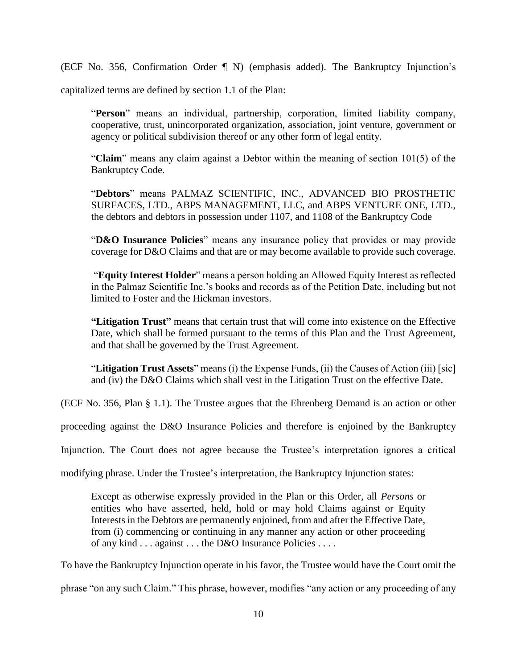(ECF No. 356, Confirmation Order ¶ N) (emphasis added). The Bankruptcy Injunction's

capitalized terms are defined by section 1.1 of the Plan:

"**Person**" means an individual, partnership, corporation, limited liability company, cooperative, trust, unincorporated organization, association, joint venture, government or agency or political subdivision thereof or any other form of legal entity.

"**Claim**" means any claim against a Debtor within the meaning of section 101(5) of the Bankruptcy Code.

"**Debtors**" means PALMAZ SCIENTIFIC, INC., ADVANCED BIO PROSTHETIC SURFACES, LTD., ABPS MANAGEMENT, LLC, and ABPS VENTURE ONE, LTD., the debtors and debtors in possession under 1107, and 1108 of the Bankruptcy Code

"**D&O Insurance Policies**" means any insurance policy that provides or may provide coverage for D&O Claims and that are or may become available to provide such coverage.

"**Equity Interest Holder**" means a person holding an Allowed Equity Interest as reflected in the Palmaz Scientific Inc.'s books and records as of the Petition Date, including but not limited to Foster and the Hickman investors.

**"Litigation Trust"** means that certain trust that will come into existence on the Effective Date, which shall be formed pursuant to the terms of this Plan and the Trust Agreement, and that shall be governed by the Trust Agreement.

"**Litigation Trust Assets**" means (i) the Expense Funds, (ii) the Causes of Action (iii) [sic] and (iv) the D&O Claims which shall vest in the Litigation Trust on the effective Date.

(ECF No. 356, Plan § 1.1). The Trustee argues that the Ehrenberg Demand is an action or other

proceeding against the D&O Insurance Policies and therefore is enjoined by the Bankruptcy

Injunction. The Court does not agree because the Trustee's interpretation ignores a critical

modifying phrase. Under the Trustee's interpretation, the Bankruptcy Injunction states:

Except as otherwise expressly provided in the Plan or this Order, all *Persons* or entities who have asserted, held, hold or may hold Claims against or Equity Interests in the Debtors are permanently enjoined, from and after the Effective Date, from (i) commencing or continuing in any manner any action or other proceeding of any kind . . . against . . . the D&O Insurance Policies . . . .

To have the Bankruptcy Injunction operate in his favor, the Trustee would have the Court omit the

phrase "on any such Claim." This phrase, however, modifies "any action or any proceeding of any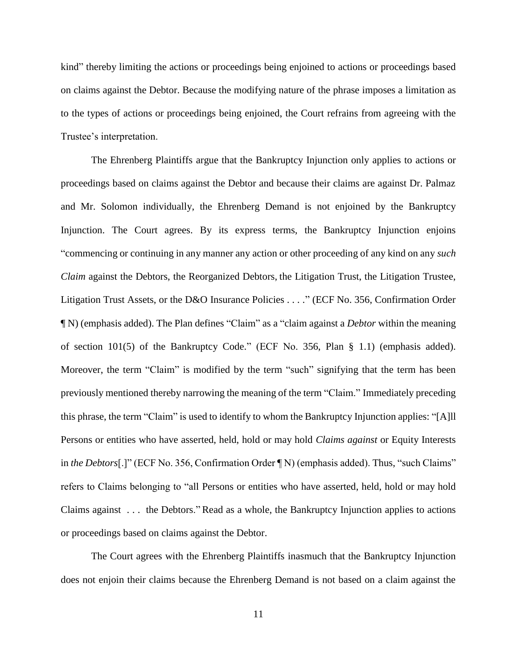kind" thereby limiting the actions or proceedings being enjoined to actions or proceedings based on claims against the Debtor. Because the modifying nature of the phrase imposes a limitation as to the types of actions or proceedings being enjoined, the Court refrains from agreeing with the Trustee's interpretation.

The Ehrenberg Plaintiffs argue that the Bankruptcy Injunction only applies to actions or proceedings based on claims against the Debtor and because their claims are against Dr. Palmaz and Mr. Solomon individually, the Ehrenberg Demand is not enjoined by the Bankruptcy Injunction. The Court agrees. By its express terms, the Bankruptcy Injunction enjoins "commencing or continuing in any manner any action or other proceeding of any kind on any *such Claim* against the Debtors, the Reorganized Debtors, the Litigation Trust, the Litigation Trustee, Litigation Trust Assets, or the D&O Insurance Policies . . . ." (ECF No. 356, Confirmation Order ¶ N) (emphasis added). The Plan defines "Claim" as a "claim against a *Debtor* within the meaning of section 101(5) of the Bankruptcy Code." (ECF No. 356, Plan § 1.1) (emphasis added). Moreover, the term "Claim" is modified by the term "such" signifying that the term has been previously mentioned thereby narrowing the meaning of the term "Claim." Immediately preceding this phrase, the term "Claim" is used to identify to whom the Bankruptcy Injunction applies: "[A]ll Persons or entities who have asserted, held, hold or may hold *Claims against* or Equity Interests in *the Debtors*[.]" (ECF No. 356, Confirmation Order ¶ N) (emphasis added). Thus, "such Claims" refers to Claims belonging to "all Persons or entities who have asserted, held, hold or may hold Claims against . . . the Debtors." Read as a whole, the Bankruptcy Injunction applies to actions or proceedings based on claims against the Debtor.

The Court agrees with the Ehrenberg Plaintiffs inasmuch that the Bankruptcy Injunction does not enjoin their claims because the Ehrenberg Demand is not based on a claim against the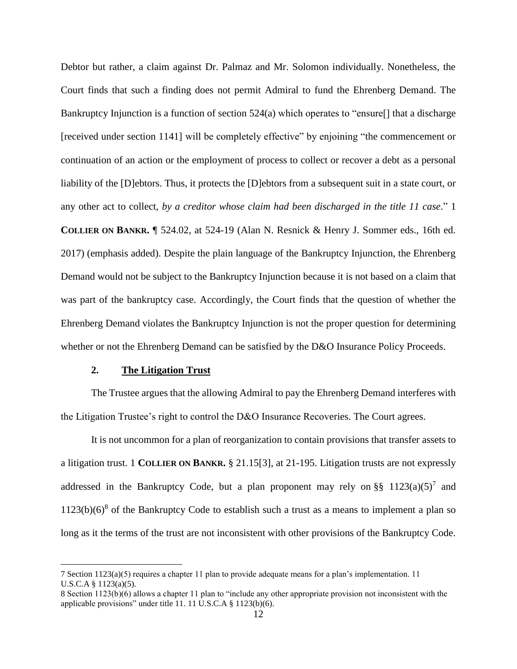Debtor but rather, a claim against Dr. Palmaz and Mr. Solomon individually. Nonetheless, the Court finds that such a finding does not permit Admiral to fund the Ehrenberg Demand. The Bankruptcy Injunction is a function of section  $524(a)$  which operates to "ensure[] that a discharge [received under section 1141] will be completely effective" by enjoining "the commencement or continuation of an action or the employment of process to collect or recover a debt as a personal liability of the [D]ebtors. Thus, it protects the [D]ebtors from a subsequent suit in a state court, or any other act to collect, *by a creditor whose claim had been discharged in the title 11 case*." 1 **COLLIER ON BANKR.** ¶ 524.02, at 524-19 (Alan N. Resnick & Henry J. Sommer eds., 16th ed. 2017) (emphasis added). Despite the plain language of the Bankruptcy Injunction, the Ehrenberg Demand would not be subject to the Bankruptcy Injunction because it is not based on a claim that was part of the bankruptcy case. Accordingly, the Court finds that the question of whether the Ehrenberg Demand violates the Bankruptcy Injunction is not the proper question for determining whether or not the Ehrenberg Demand can be satisfied by the D&O Insurance Policy Proceeds.

## **2. The Litigation Trust**

 $\overline{a}$ 

The Trustee argues that the allowing Admiral to pay the Ehrenberg Demand interferes with the Litigation Trustee's right to control the D&O Insurance Recoveries. The Court agrees.

It is not uncommon for a plan of reorganization to contain provisions that transfer assets to a litigation trust. 1 **COLLIER ON BANKR.** § 21.15[3], at 21-195. Litigation trusts are not expressly addressed in the Bankruptcy Code, but a plan proponent may rely on §§  $1123(a)(5)^7$  and  $1123(b)(6)<sup>8</sup>$  of the Bankruptcy Code to establish such a trust as a means to implement a plan so long as it the terms of the trust are not inconsistent with other provisions of the Bankruptcy Code.

<sup>7</sup> Section 1123(a)(5) requires a chapter 11 plan to provide adequate means for a plan's implementation. 11 U.S.C.A § 1123(a)(5).

<sup>8</sup> Section 1123(b)(6) allows a chapter 11 plan to "include any other appropriate provision not inconsistent with the applicable provisions" under title 11. 11 U.S.C.A § 1123(b)(6).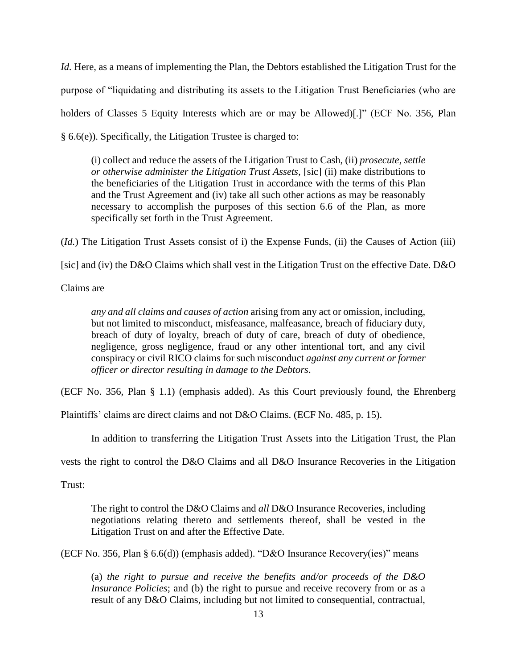*Id.* Here, as a means of implementing the Plan, the Debtors established the Litigation Trust for the purpose of "liquidating and distributing its assets to the Litigation Trust Beneficiaries (who are holders of Classes 5 Equity Interests which are or may be Allowed)[.]" (ECF No. 356, Plan § 6.6(e)). Specifically, the Litigation Trustee is charged to:

(i) collect and reduce the assets of the Litigation Trust to Cash, (ii) *prosecute, settle or otherwise administer the Litigation Trust Assets,* [sic] (ii) make distributions to the beneficiaries of the Litigation Trust in accordance with the terms of this Plan and the Trust Agreement and (iv) take all such other actions as may be reasonably necessary to accomplish the purposes of this section 6.6 of the Plan, as more specifically set forth in the Trust Agreement.

(*Id.*) The Litigation Trust Assets consist of i) the Expense Funds, (ii) the Causes of Action (iii)

[sic] and (iv) the D&O Claims which shall vest in the Litigation Trust on the effective Date. D&O

Claims are

*any and all claims and causes of action* arising from any act or omission, including, but not limited to misconduct, misfeasance, malfeasance, breach of fiduciary duty, breach of duty of loyalty, breach of duty of care, breach of duty of obedience, negligence, gross negligence, fraud or any other intentional tort, and any civil conspiracy or civil RICO claims for such misconduct *against any current or former officer or director resulting in damage to the Debtors*.

(ECF No. 356, Plan § 1.1) (emphasis added). As this Court previously found, the Ehrenberg

Plaintiffs' claims are direct claims and not D&O Claims. (ECF No. 485, p. 15).

In addition to transferring the Litigation Trust Assets into the Litigation Trust, the Plan

vests the right to control the D&O Claims and all D&O Insurance Recoveries in the Litigation

Trust:

The right to control the D&O Claims and *all* D&O Insurance Recoveries, including negotiations relating thereto and settlements thereof, shall be vested in the Litigation Trust on and after the Effective Date.

(ECF No. 356, Plan § 6.6(d)) (emphasis added). "D&O Insurance Recovery(ies)" means

(a) *the right to pursue and receive the benefits and/or proceeds of the D&O Insurance Policies*; and (b) the right to pursue and receive recovery from or as a result of any D&O Claims, including but not limited to consequential, contractual,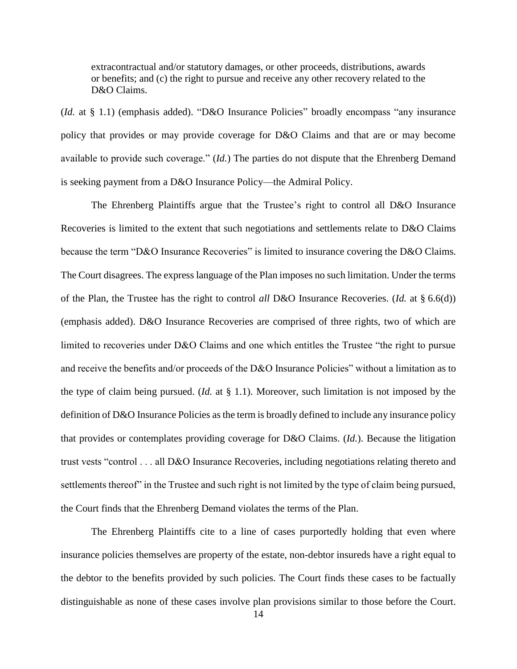extracontractual and/or statutory damages, or other proceeds, distributions, awards or benefits; and (c) the right to pursue and receive any other recovery related to the D&O Claims.

(*Id.* at § 1.1) (emphasis added). "D&O Insurance Policies" broadly encompass "any insurance policy that provides or may provide coverage for D&O Claims and that are or may become available to provide such coverage." (*Id.*) The parties do not dispute that the Ehrenberg Demand is seeking payment from a D&O Insurance Policy—the Admiral Policy.

The Ehrenberg Plaintiffs argue that the Trustee's right to control all D&O Insurance Recoveries is limited to the extent that such negotiations and settlements relate to D&O Claims because the term "D&O Insurance Recoveries" is limited to insurance covering the D&O Claims. The Court disagrees. The express language of the Plan imposes no such limitation. Under the terms of the Plan, the Trustee has the right to control *all* D&O Insurance Recoveries. (*Id.* at § 6.6(d)) (emphasis added). D&O Insurance Recoveries are comprised of three rights, two of which are limited to recoveries under D&O Claims and one which entitles the Trustee "the right to pursue and receive the benefits and/or proceeds of the D&O Insurance Policies" without a limitation as to the type of claim being pursued. (*Id.* at § 1.1). Moreover, such limitation is not imposed by the definition of D&O Insurance Policies as the term is broadly defined to include any insurance policy that provides or contemplates providing coverage for D&O Claims. (*Id.*). Because the litigation trust vests "control . . . all D&O Insurance Recoveries, including negotiations relating thereto and settlements thereof" in the Trustee and such right is not limited by the type of claim being pursued, the Court finds that the Ehrenberg Demand violates the terms of the Plan.

The Ehrenberg Plaintiffs cite to a line of cases purportedly holding that even where insurance policies themselves are property of the estate, non-debtor insureds have a right equal to the debtor to the benefits provided by such policies. The Court finds these cases to be factually distinguishable as none of these cases involve plan provisions similar to those before the Court.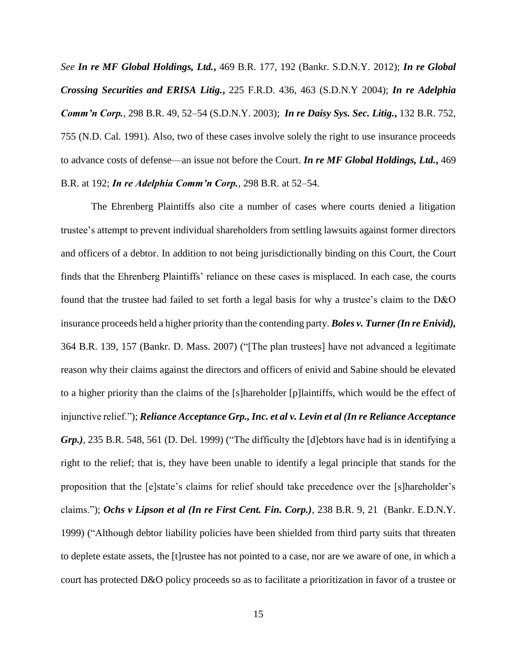*See In re MF Global Holdings, Ltd.***,** 469 B.R. 177, 192 (Bankr. S.D.N.Y. 2012); *In re Global Crossing Securities and ERISA Litig.***,** 225 F.R.D. 436, 463 (S.D.N.Y 2004); *In re Adelphia Comm'n Corp.*, 298 B.R. 49, 52–54 (S.D.N.Y. 2003); *In re Daisy Sys. Sec. Litig.***,** 132 B.R. 752, 755 (N.D. Cal. 1991). Also, two of these cases involve solely the right to use insurance proceeds to advance costs of defense—an issue not before the Court. *In re MF Global Holdings, Ltd.***,** 469 B.R. at 192; *In re Adelphia Comm'n Corp.*, 298 B.R. at 52–54.

The Ehrenberg Plaintiffs also cite a number of cases where courts denied a litigation trustee's attempt to prevent individual shareholders from settling lawsuits against former directors and officers of a debtor. In addition to not being jurisdictionally binding on this Court, the Court finds that the Ehrenberg Plaintiffs' reliance on these cases is misplaced. In each case, the courts found that the trustee had failed to set forth a legal basis for why a trustee's claim to the D&O insurance proceeds held a higher priority than the contending party. *Boles v. Turner (In re Enivid),*  364 B.R. 139, 157 (Bankr. D. Mass. 2007) ("[The plan trustees] have not advanced a legitimate reason why their claims against the directors and officers of enivid and Sabine should be elevated to a higher priority than the claims of the [s]hareholder [p]laintiffs, which would be the effect of injunctive relief."); *Reliance Acceptance Grp., Inc. et al v. Levin et al (In re Reliance Acceptance Grp.)*, 235 B.R. 548, 561 (D. Del. 1999) ("The difficulty the [d]ebtors have had is in identifying a right to the relief; that is, they have been unable to identify a legal principle that stands for the proposition that the [e]state's claims for relief should take precedence over the [s]hareholder's claims."); *Ochs v Lipson et al (In re First Cent. Fin. Corp.)*, 238 B.R. 9, 21 (Bankr. E.D.N.Y. 1999) ("Although debtor liability policies have been shielded from third party suits that threaten to deplete estate assets, the [t]rustee has not pointed to a case, nor are we aware of one, in which a court has protected D&O policy proceeds so as to facilitate a prioritization in favor of a trustee or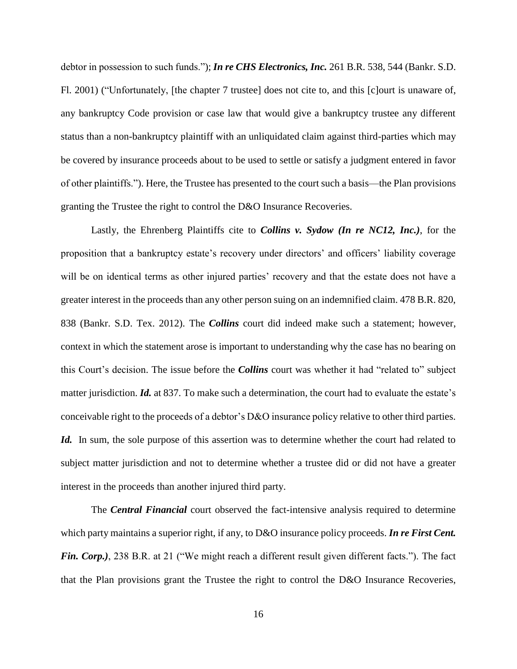debtor in possession to such funds."); *In re CHS Electronics, Inc.* 261 B.R. 538, 544 (Bankr. S.D. Fl. 2001) ("Unfortunately, [the chapter 7 trustee] does not cite to, and this [c]ourt is unaware of, any bankruptcy Code provision or case law that would give a bankruptcy trustee any different status than a non-bankruptcy plaintiff with an unliquidated claim against third-parties which may be covered by insurance proceeds about to be used to settle or satisfy a judgment entered in favor of other plaintiffs."). Here, the Trustee has presented to the court such a basis—the Plan provisions granting the Trustee the right to control the D&O Insurance Recoveries.

Lastly, the Ehrenberg Plaintiffs cite to *Collins v. Sydow (In re NC12, Inc.)*, for the proposition that a bankruptcy estate's recovery under directors' and officers' liability coverage will be on identical terms as other injured parties' recovery and that the estate does not have a greater interest in the proceeds than any other person suing on an indemnified claim. 478 B.R. 820, 838 (Bankr. S.D. Tex. 2012). The *Collins* court did indeed make such a statement; however, context in which the statement arose is important to understanding why the case has no bearing on this Court's decision. The issue before the *Collins* court was whether it had "related to" subject matter jurisdiction. *Id.* at 837. To make such a determination, the court had to evaluate the estate's conceivable right to the proceeds of a debtor's D&O insurance policy relative to other third parties. *Id.* In sum, the sole purpose of this assertion was to determine whether the court had related to subject matter jurisdiction and not to determine whether a trustee did or did not have a greater interest in the proceeds than another injured third party.

The *Central Financial* court observed the fact-intensive analysis required to determine which party maintains a superior right, if any, to D&O insurance policy proceeds. *In re First Cent. Fin. Corp.)*, 238 B.R. at 21 ("We might reach a different result given different facts."). The fact that the Plan provisions grant the Trustee the right to control the D&O Insurance Recoveries,